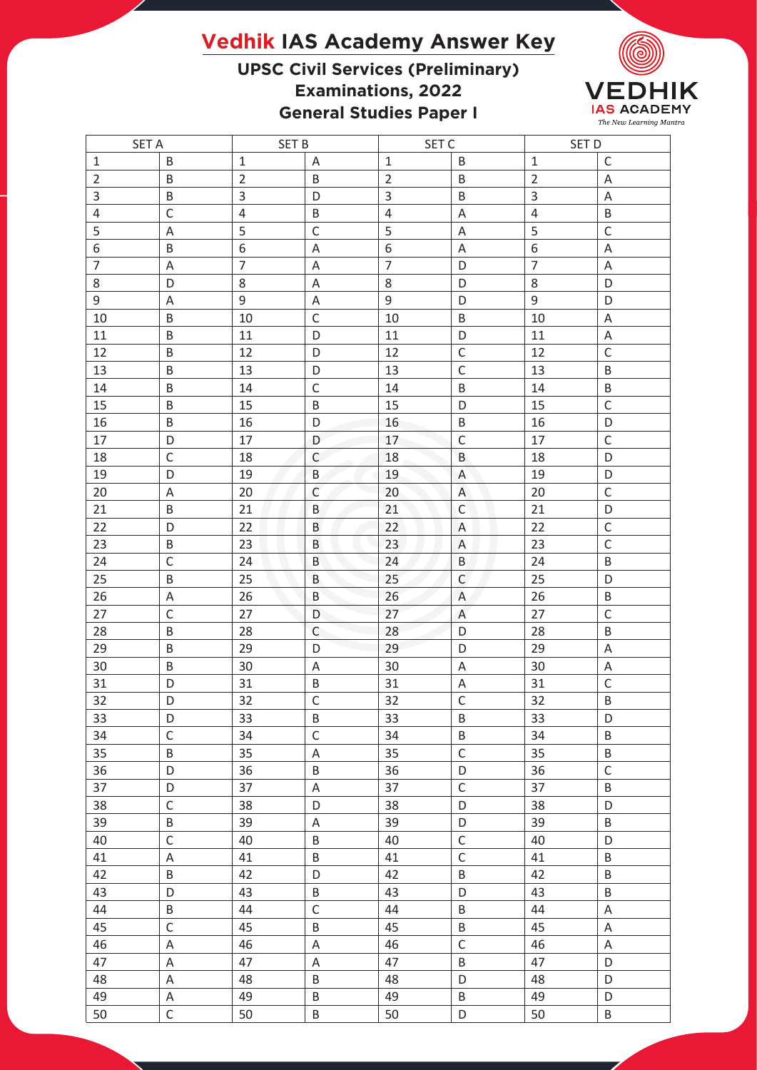## **Vedhik IAS Academy Answer Key**

## **UPSC Civil Services (Preliminary) Examinations, 2022 General Studies Paper I**



| <b>SET A</b>   |                   | <b>SET B</b>   |              | SET C          |                  | SET D          |                           |
|----------------|-------------------|----------------|--------------|----------------|------------------|----------------|---------------------------|
| $\mathbf{1}$   | $\sf B$           | $1\,$          | Α            | $1\,$          | B                | $\mathbf{1}$   | $\mathsf C$               |
| $\overline{2}$ | B                 | $\overline{2}$ | B            | $\overline{2}$ | B                | $\overline{2}$ | A                         |
| 3              | B                 | 3              | D            | $\mathsf{3}$   | B                | 3              | $\mathsf A$               |
| $\overline{4}$ | $\mathsf{C}$      | $\overline{4}$ | $\sf B$      | $\sqrt{4}$     | A                | $\overline{4}$ | $\sf B$                   |
| 5              | A                 | 5              | $\mathsf C$  | 5              | Α                | 5              | $\mathsf C$               |
| 6              | B                 | $\,$ 6 $\,$    | Α            | 6              | Α                | 6              | A                         |
| $\overline{7}$ | A                 | $\overline{7}$ | A            | $\overline{7}$ | D                | $\overline{7}$ | A                         |
| 8              | D                 | 8              | A            | 8              | D                | 8              | D                         |
| 9              | A                 | $\overline{9}$ | Α            | $\mathsf g$    | D                | 9              | D                         |
| 10             | B                 | 10             | $\mathsf{C}$ | 10             | B                | 10             | A                         |
| 11             | B                 | 11             | D            | 11             | D                | 11             | $\overline{A}$            |
| 12             | B                 | 12             | D            | 12             | $\mathsf C$      | 12             | $\mathsf C$               |
| 13             | B                 | 13             | D            | 13             | $\mathsf C$      | 13             | $\sf B$                   |
| 14             | B                 | 14             | $\mathsf C$  | 14             | B                | 14             | B                         |
| 15             | B                 | 15             | B            | 15             | D                | 15             | $\mathsf C$               |
| 16             | B                 | 16             | D            | 16             | B                | 16             | D                         |
| 17             | D                 | 17             | D            | 17             | $\mathsf C$      | 17             | $\mathsf C$               |
| 18             | $\mathsf{C}$      | 18             | $\mathsf C$  | 18             | B                | 18             | D                         |
| 19             | D                 | 19             | B            | 19             | A                | 19             | D                         |
| 20             | Α                 | 20             | $\mathsf{C}$ | 20             | A                | 20             | $\mathsf C$               |
| 21             | B                 | 21             | B            | 21             | $\mathsf C$      | 21             | D                         |
| 22             | D                 | 22             | B            | 22             |                  | 22             | $\mathsf C$               |
| 23             | B                 | 23             | B            | 23             | A                | 23             | $\mathsf{C}$              |
|                |                   |                |              |                | A                |                |                           |
| 24             | $\mathsf{C}$<br>B | 24             | B            | 24             | B<br>$\mathsf C$ | 24             | B                         |
| 25             |                   | 25             | B            | 25             |                  | 25             | D                         |
| 26             | Α                 | 26             | $\sf B$      | 26             | A                | 26             | $\sf B$                   |
| 27             | $\mathsf C$       | 27             | D            | 27             | $\mathsf{A}$     | 27             | $\mathsf C$               |
| 28             | B                 | 28             | $\mathsf{C}$ | 28             | D                | 28             | B                         |
| 29             | B                 | 29             | D            | 29             | D                | 29             | $\boldsymbol{\mathsf{A}}$ |
| 30             | B                 | 30             | Α            | 30             | Α                | 30             | Α                         |
| 31             | D                 | 31             | B            | 31             | $\mathsf A$      | 31             | $\mathsf C$               |
| 32             | D                 | 32             | $\mathsf{C}$ | 32             | $\mathsf{C}$     | 32             | B                         |
| 33             | D                 | 33             | $\sf B$      | 33             | $\sf B$          | 33             | D                         |
| 34             | $\mathsf C$       | 34             | $\mathsf C$  | 34             | B                | 34             | B                         |
| 35             | B                 | 35             | A            | 35             | $\mathsf C$      | 35             | B                         |
| 36             | D                 | 36             | $\sf B$      | 36             | D                | 36             | $\mathsf C$               |
| 37             | D                 | 37             | A            | 37             | $\mathsf C$      | 37             | B                         |
| 38             | $\mathsf{C}$      | 38             | D            | 38             | D                | 38             | D                         |
| 39             | B                 | 39             | A            | 39             | D                | 39             | B                         |
| 40             | $\mathsf C$       | 40             | $\sf B$      | 40             | $\mathsf C$      | 40             | D                         |
| 41             | Α                 | 41             | $\sf B$      | 41             | $\mathsf C$      | 41             | B                         |
| 42             | B                 | 42             | D            | 42             | B                | 42             | B                         |
| 43             | D                 | 43             | $\sf B$      | 43             | D                | 43             | $\sf B$                   |
| 44             | B                 | 44             | $\mathsf C$  | 44             | B                | 44             | A                         |
| 45             | $\mathsf C$       | 45             | B            | 45             | B                | 45             | $\mathsf A$               |
| 46             | $\mathsf A$       | 46             | A            | 46             | $\mathsf C$      | 46             | $\mathsf A$               |
| 47             | $\mathsf A$       | 47             | $\mathsf A$  | 47             | $\sf B$          | 47             | D                         |
| 48             | A                 | 48             | $\sf B$      | 48             | D                | 48             | D                         |
| 49             | $\mathsf A$       | 49             | B            | 49             | B                | 49             | D                         |
| 50             | $\mathsf C$       | 50             | $\sf B$      | 50             | D                | 50             | $\sf B$                   |